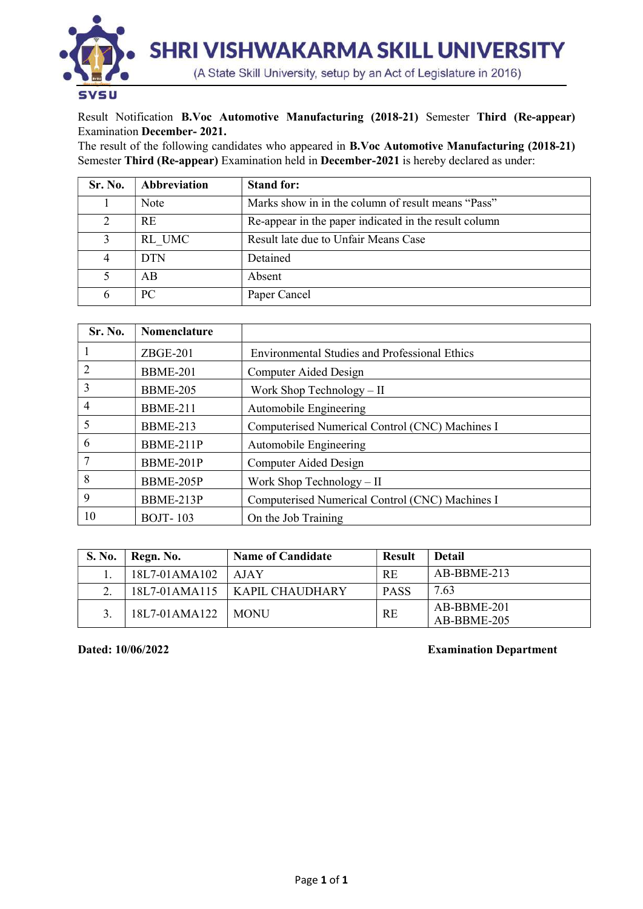

Result Notification B.Voc Automotive Manufacturing (2018-21) Semester Third (Re-appear) Examination December- 2021.

The result of the following candidates who appeared in B.Voc Automotive Manufacturing (2018-21) Semester Third (Re-appear) Examination held in December-2021 is hereby declared as under:

| Sr. No. | Abbreviation | <b>Stand for:</b>                                     |
|---------|--------------|-------------------------------------------------------|
|         | Note         | Marks show in in the column of result means "Pass"    |
| 2       | <b>RE</b>    | Re-appear in the paper indicated in the result column |
|         | RL UMC       | Result late due to Unfair Means Case                  |
| 4       | <b>DTN</b>   | Detained                                              |
|         | AB           | Absent                                                |
| 6       | PC           | Paper Cancel                                          |

| Sr. No.        | Nomenclature    |                                                      |
|----------------|-----------------|------------------------------------------------------|
|                | $ZBGE-201$      | <b>Environmental Studies and Professional Ethics</b> |
| $\overline{2}$ | <b>BBME-201</b> | Computer Aided Design                                |
| 3              | <b>BBME-205</b> | Work Shop Technology - II                            |
| $\overline{4}$ | <b>BBME-211</b> | Automobile Engineering                               |
| 5              | <b>BBME-213</b> | Computerised Numerical Control (CNC) Machines I      |
| 6              | BBME-211P       | Automobile Engineering                               |
| 7              | BBME-201P       | Computer Aided Design                                |
| 8              | BBME-205P       | Work Shop Technology $-$ II                          |
| 9              | BBME-213P       | Computerised Numerical Control (CNC) Machines I      |
| 10             | <b>BOJT-103</b> | On the Job Training                                  |

| S. No.   | Regn. No.     | <b>Name of Candidate</b> | <b>Result</b> | <b>Detail</b>              |  |  |  |  |  |  |  |
|----------|---------------|--------------------------|---------------|----------------------------|--|--|--|--|--|--|--|
|          | 18L7-01AMA102 | AJAY                     | <b>RE</b>     | $AB-BBME-213$              |  |  |  |  |  |  |  |
| $\gamma$ | 18L7-01AMA115 | $\perp$ KAPIL CHAUDHARY  | <b>PASS</b>   | 7.63                       |  |  |  |  |  |  |  |
|          | 18L7-01AMA122 | <b>MONU</b>              | RE            | AB-BBME-201<br>AB-BBME-205 |  |  |  |  |  |  |  |

## Dated: 10/06/2022 Examination Department